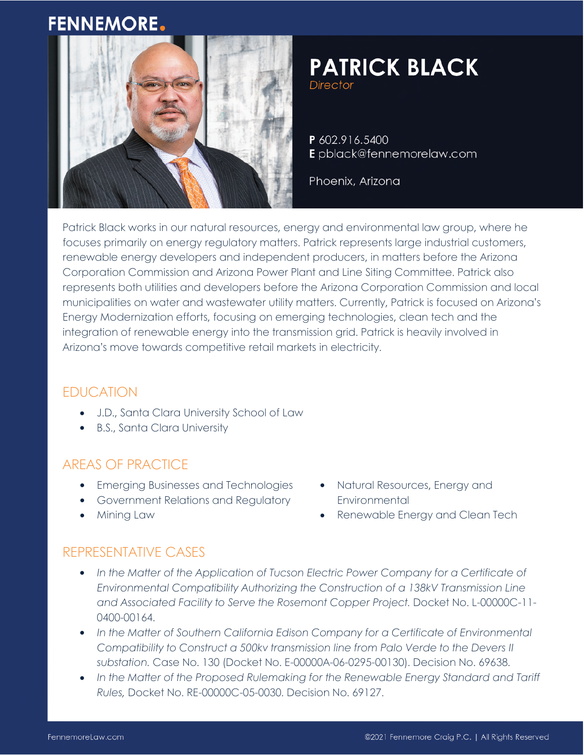# **FENNEMORE.**



# **PATRICK BLACK**

**Director** 

P 602.916.5400 Epblack@fennemorelaw.com

Phoenix, Arizona

Patrick Black works in our natural resources, energy and environmental law group, where he focuses primarily on energy regulatory matters. Patrick represents large industrial customers, renewable energy developers and independent producers, in matters before the Arizona Corporation Commission and Arizona Power Plant and Line Siting Committee. Patrick also represents both utilities and developers before the Arizona Corporation Commission and local municipalities on water and wastewater utility matters. Currently, Patrick is focused on Arizona's Energy Modernization efforts, focusing on emerging technologies, clean tech and the integration of renewable energy into the transmission grid. Patrick is heavily involved in Arizona's move towards competitive retail markets in electricity.

## EDUCATION

- J.D., Santa Clara University School of Law
- B.S., Santa Clara University

## AREAS OF PRACTICE

- **•** Emerging Businesses and Technologies
- **•** Government Relations and Regulatory
- Mining Law
- Natural Resources, Energy and **Environmental**
- Renewable Energy and Clean Tech

#### REPRESENTATIVE CASES

- In the Matter of the Application of Tucson Electric Power Company for a Certificate of *Environmental Compatibility Authorizing the Construction of a 138kV Transmission Line and Associated Facility to Serve the Rosemont Copper Project.* Docket No. L-00000C-11- 0400-00164.
- *In the Matter of Southern California Edison Company for a Certificate of Environmental Compatibility to Construct a 500kv transmission line from Palo Verde to the Devers II substation.* Case No. 130 (Docket No. E-00000A-06-0295-00130). Decision No. 69638.
- In the Matter of the Proposed Rulemaking for the Renewable Energy Standard and Tariff *Rules,* Docket No. RE-00000C-05-0030. Decision No. 69127.